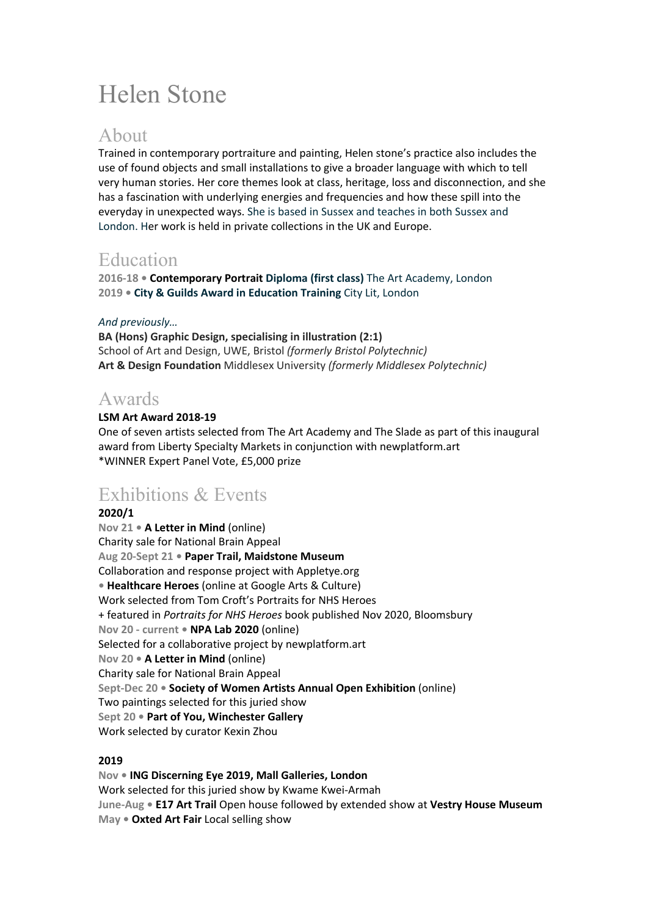# Helen Stone

### About

Trained in contemporary portraiture and painting, Helen stone's practice also includes the use of found objects and small installations to give a broader language with which to tell very human stories. Her core themes look at class, heritage, loss and disconnection, and she has a fascination with underlying energies and frequencies and how these spill into the everyday in unexpected ways. She is based in Sussex and teaches in both Sussex and London. Her work is held in private collections in the UK and Europe.

# Education

**2016-18 • Contemporary Portrait Diploma (first class)** The Art Academy, London **2019 • City & Guilds Award in Education Training** City Lit, London

### *And previously…*

**BA (Hons) Graphic Design, specialising in illustration (2:1)** School of Art and Design, UWE, Bristol *(formerly Bristol Polytechnic)* **Art & Design Foundation** Middlesex University *(formerly Middlesex Polytechnic)*

## Awards

#### **LSM Art Award 2018-19**

One of seven artists selected from The Art Academy and The Slade as part of this inaugural award from Liberty Specialty Markets in conjunction with newplatform.art \*WINNER Expert Panel Vote, £5,000 prize

# Exhibitions & Events

#### **2020/1**

**Nov 21 • A Letter in Mind** (online) Charity sale for National Brain Appeal **Aug 20-Sept 21 • Paper Trail, Maidstone Museum**  Collaboration and response project with Appletye.org **• Healthcare Heroes** (online at Google Arts & Culture) Work selected from Tom Croft's Portraits for NHS Heroes + featured in *Portraits for NHS Heroes* book published Nov 2020, Bloomsbury **Nov 20 - current • NPA Lab 2020** (online) Selected for a collaborative project by newplatform.art **Nov 20 • A Letter in Mind** (online) Charity sale for National Brain Appeal **Sept-Dec 20 • Society of Women Artists Annual Open Exhibition** (online) Two paintings selected for this juried show **Sept 20 • Part of You, Winchester Gallery** Work selected by curator Kexin Zhou

### **2019**

**Nov • ING Discerning Eye 2019, Mall Galleries, London** Work selected for this juried show by Kwame Kwei-Armah **June-Aug • E17 Art Trail** Open house followed by extended show at **Vestry House Museum May • Oxted Art Fair** Local selling show